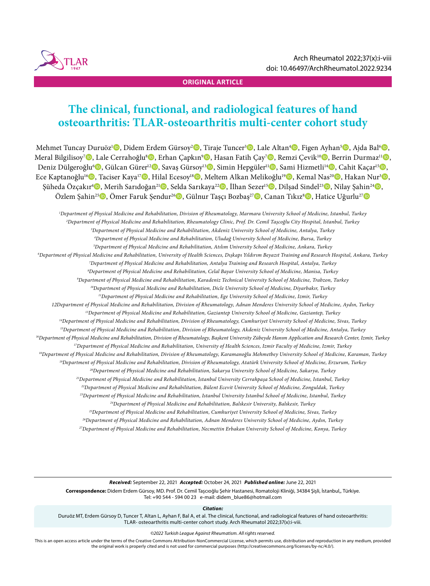

### **ORIGINAL ARTICLE**

# **The clinical, functional, and radiological features of hand osteoarthritis: TLAR-osteoarthritis multi-center cohort study**

Mehmet Tuncay Duruöz1 , Didem Erdem Gürsoy2 , Tiraje Tuncer3 , Lale Altan4 , Figen Ayhan5 , Ajda Bal6 , Meral Bilgilisoy<sup>7</sup>D, Lale Cerrahoğlu<sup>s</sup>D, Erhan Çapkın<sup>9</sup>D, Hasan Fatih Çay<sup>7</sup>D, Remzi Çevik<sup>10</sup>D, Berrin Durmaz<sup>11</sup>D, Deniz Dülgeroğlu®, Gülcan Gürer<sup>12</sup>D, Savaş Gürsoy<sup>13</sup>D, Simin Hepgüler<sup>11</sup>D, Sami Hizmetli<sup>14</sup>D, Cahit Kaçar<sup>15</sup>D, Ece Kaptanoğlu<sup>16</sup>©, Taciser Kaya<sup>17</sup>©, Hilal Ecesoy<sup>18</sup>©, Meltem Alkan Melikoğlu<sup>19</sup>©, Kemal Nas<sup>20</sup>©, Hakan Nur<sup>3</sup>©, Şüheda Özçakır<sup>4</sup>D, Merih Sarıdoğan<sup>21</sup>D, Selda Sarıkaya<sup>22</sup>D, İlhan Sezer<sup>15</sup>D, Dilşad Sindel<sup>23</sup>D, Nilay Şahin<sup>24</sup>D, Özlem Şahin<sup>25</sup>**D**, Ömer Faruk Şendur<sup>26</sup>D, Gülnur Taşçı Bozbaş<sup>27</sup>D, Canan Tıkız<sup>s</sup>D, Hatice Uğurlu<sup>27</sup>D

*1 Department of Physical Medicine and Rehabilitation, Division of Rheumatology, Marmara University School of Medicine, Istanbul, Turkey 2 Department of Physical Medicine and Rehabilitation, Rheumatology Clinic, Prof. Dr. Cemil Taşcoğlu City Hospital, Istanbul, Turkey 3 Department of Physical Medicine and Rehabilitation, Akdeniz University School of Medicine, Antalya, Turkey 4 Department of Physical Medicine and Rehabilitation, Uludağ University School of Medicine, Bursa, Turkey 5 Department of Physical Medicine and Rehabilitation, Atılım University School of Medicine, Ankara, Turkey 6 Department of Physical Medicine and Rehabilitation, University of Health Sciences, Dışkapı Yıldırım Beyazıt Training and Research Hospital, Ankara, Turkey 7 Department of Physical Medicine and Rehabilitation, Antalya Training and Research Hospital, Antalya, Turkey 8 Department of Physical Medicine and Rehabilitation, Celal Bayar University School of Medicine, Manisa, Turkey 9 Department of Physical Medicine and Rehabilitation, Karadeniz Technical University School of Medicine, Trabzon, Turkey 10Department of Physical Medicine and Rehabilitation, Dicle University School of Medicine, Diyarbakır, Turkey 11Department of Physical Medicine and Rehabilitation, Ege University School of Medicine, Izmir, Turkey 12Department of Physical Medicine and Rehabilitation, Division of Rheumatology, Adnan Menderes University School of Medicine, Aydın, Turkey 13Department of Physical Medicine and Rehabilitation, Gaziantep University School of Medicine, Gaziantep, Turkey 14Department of Physical Medicine and Rehabilitation, Division of Rheumatology, Cumhuriyet University School of Medicine, Sivas, Turkey 15Department of Physical Medicine and Rehabilitation, Division of Rheumatology, Akdeniz University School of Medicine, Antalya, Turkey 16Department of Physical Medicine and Rehabilitation, Division of Rheumatology, Başkent University Zübeyde Hanım Application and Research Center, Izmir, Turkey 17Department of Physical Medicine and Rehabilitation, University of Health Sciences, Izmir Faculty of Medicine, Izmir, Turkey 18Department of Physical Medicine and Rehabilitation, Division of Rheumatology, Karamanoğlu Mehmetbey University School of Medicine, Karaman, Turkey 19Department of Physical Medicine and Rehabilitation, Division of Rheumatology, Atatürk University School of Medicine, Erzurum, Turkey 20Department of Physical Medicine and Rehabilitation, Sakarya University School of Medicine, Sakarya, Turkey 21Department of Physical Medicine and Rehabilitation, Istanbul University Cerrahpaşa School of Medicine, Istanbul, Turkey 22Department of Physical Medicine and Rehabilitation, Bülent Ecevit University School of Medicine, Zonguldak, Turkey 23Department of Physical Medicine and Rehabilitation, Istanbul University Istanbul School of Medicine, Istanbul, Turkey 24Department of Physical Medicine and Rehabilitation, Balıkesir University, Balıkesir, Turkey 25Department of Physical Medicine and Rehabilitation, Cumhuriyet University School of Medicine, Sivas, Turkey 26Department of Physical Medicine and Rehabilitation, Adnan Menderes University School of Medicine, Aydın, Turkey 27Department of Physical Medicine and Rehabilitation, Necmettin Erbakan University School of Medicine, Konya, Turkey*

*Received:* September 22, 2021 *Accepted:* October 24, 2021 *Published online:* June 22, 2021 **Correspondence:** Didem Erdem Gürsoy, MD. Prof. Dr. Cemil Taşcıoğlu Şehir Hastanesi, Romatoloji Kliniği, 34384 Şişli, İstanbul,, Türkiye. Tel: +90 544 - 594 00 23 e-mail: didem\_blue86@hotmail.com

*Citation:*

Duruöz MT, Erdem Gürsoy D, Tuncer T, Altan L, Ayhan F, Bal A, et al. The clinical, functional, and radiological features of hand osteoarthritis: TLAR- osteoarthritis multi-center cohort study. Arch Rheumatol 2022;37(x):i-viii.

*©2022 Turkish League Against Rheumatism. All rights reserved.*

This is an open access article under the terms of the Creative Commons Attribution-NonCommercial License, which permits use, distribution and reproduction in any medium, provided the original work is properly cited and is not used for commercial purposes (http://creativecommons.org/licenses/by-nc/4.0/).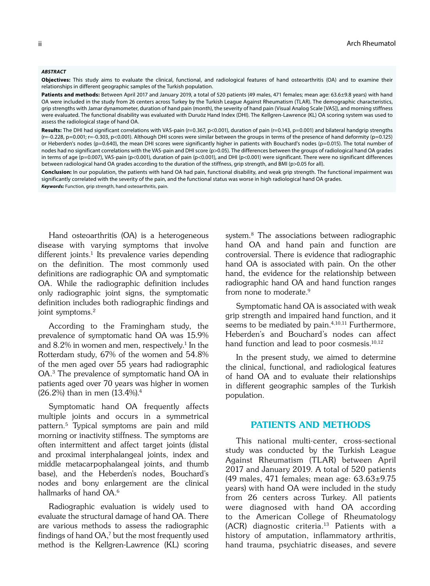#### *ABSTRACT*

**Objectives:** This study aims to evaluate the clinical, functional, and radiological features of hand osteoarthritis (OA) and to examine their relationships in different geographic samples of the Turkish population.

Patients and methods: Between April 2017 and January 2019, a total of 520 patients (49 males, 471 females; mean age: 63.6±9.8 years) with hand OA were included in the study from 26 centers across Turkey by the Turkish League Against Rheumatism (TLAR). The demographic characteristics, grip strengths with Jamar dynamometer, duration of hand pain (month), the severity of hand pain (Visual Analog Scale [VAS]), and morning stiffness were evaluated. The functional disability was evaluated with Duruöz Hand Index (DHI). The Kellgren-Lawrence (KL) OA scoring system was used to assess the radiological stage of hand OA.

Results: The DHI had significant correlations with VAS-pain (r=0.367, p<0.001), duration of pain (r=0.143, p=0.001) and bilateral handgrip strengths (r=-0.228, p=0.001; r=-0.303, p<0.001). Although DHI scores were similar between the groups in terms of the presence of hand deformity (p=0.125) or Heberden's nodes (p=0.640), the mean DHI scores were significantly higher in patients with Bouchard's nodes (p=0.015). The total number of nodes had no significant correlations with the VAS-pain and DHI score (p>0.05). The differences between the groups of radiological hand OA grades in terms of age (p=0.007), VAS-pain (p<0.001), duration of pain (p<0.001), and DHI (p<0.001) were significant. There were no significant differences between radiological hand OA grades according to the duration of the stiffness, grip strength, and BMI (p>0.05 for all).

**Conclusion:** In our population, the patients with hand OA had pain, functional disability, and weak grip strength. The functional impairment was significantly correlated with the severity of the pain, and the functional status was worse in high radiological hand OA grades. *Keywords:* Function, grip strength, hand osteoarthritis, pain.

Hand osteoarthritis (OA) is a heterogeneous disease with varying symptoms that involve different joints.<sup>1</sup> Its prevalence varies depending on the definition. The most commonly used definitions are radiographic OA and symptomatic OA. While the radiographic definition includes only radiographic joint signs, the symptomatic definition includes both radiographic findings and joint symptoms.<sup>2</sup>

According to the Framingham study, the prevalence of symptomatic hand OA was 15.9% and  $8.2\%$  in women and men, respectively.<sup>1</sup> In the Rotterdam study, 67% of the women and 54.8% of the men aged over 55 years had radiographic OA.3 The prevalence of symptomatic hand OA in patients aged over 70 years was higher in women (26.2%) than in men (13.4%).4

Symptomatic hand OA frequently affects multiple joints and occurs in a symmetrical pattern.5 Typical symptoms are pain and mild morning or inactivity stiffness. The symptoms are often intermittent and affect target joints (distal and proximal interphalangeal joints, index and middle metacarpophalangeal joints, and thumb base), and the Heberden's nodes, Bouchard's nodes and bony enlargement are the clinical hallmarks of hand OA.<sup>6</sup>

Radiographic evaluation is widely used to evaluate the structural damage of hand OA. There are various methods to assess the radiographic findings of hand OA,7 but the most frequently used method is the Kellgren-Lawrence (KL) scoring system.8 The associations between radiographic hand OA and hand pain and function are controversial. There is evidence that radiographic hand OA is associated with pain. On the other hand, the evidence for the relationship between radiographic hand OA and hand function ranges from none to moderate.<sup>9</sup>

Symptomatic hand OA is associated with weak grip strength and impaired hand function, and it seems to be mediated by  $pain.<sup>4,10,11</sup>$  Furthermore, Heberden's and Bouchard's nodes can affect hand function and lead to poor cosmesis.<sup>10,12</sup>

In the present study, we aimed to determine the clinical, functional, and radiological features of hand OA and to evaluate their relationships in different geographic samples of the Turkish population.

## PATIENTS AND METHODS

This national multi-center, cross-sectional study was conducted by the Turkish League Against Rheumatism (TLAR) between April 2017 and January 2019. A total of 520 patients (49 males, 471 females; mean age:  $63.63 \pm 9.75$ years) with hand OA were included in the study from 26 centers across Turkey. All patients were diagnosed with hand OA according to the American College of Rheumatology (ACR) diagnostic criteria.13 Patients with a history of amputation, inflammatory arthritis, hand trauma, psychiatric diseases, and severe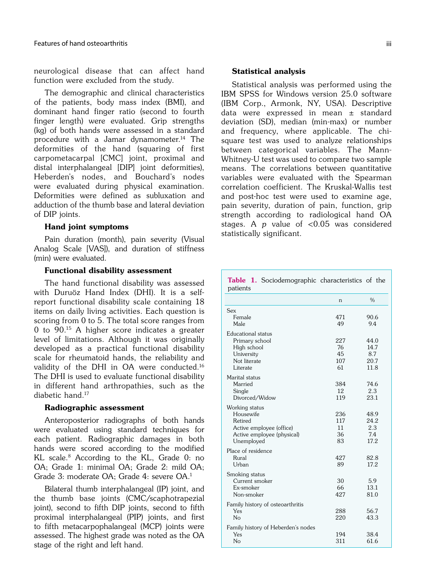neurological disease that can affect hand function were excluded from the study.

The demographic and clinical characteristics of the patients, body mass index (BMI), and dominant hand finger ratio (second to fourth finger length) were evaluated. Grip strengths (kg) of both hands were assessed in a standard procedure with a Jamar dynamometer.14 The deformities of the hand (squaring of first carpometacarpal [CMC] joint, proximal and distal interphalangeal [DIP] joint deformities), Heberden's nodes, and Bouchard's nodes were evaluated during physical examination. Deformities were defined as subluxation and adduction of the thumb base and lateral deviation of DIP joints.

## Hand joint symptoms

Pain duration (month), pain severity (Visual Analog Scale [VAS]), and duration of stiffness (min) were evaluated.

## Functional disability assessment

The hand functional disability was assessed with Duruöz Hand Index (DHI). It is a selfreport functional disability scale containing 18 items on daily living activities. Each question is scoring from 0 to 5. The total score ranges from 0 to 90.15 A higher score indicates a greater level of limitations. Although it was originally developed as a practical functional disability scale for rheumatoid hands, the reliability and validity of the DHI in OA were conducted.16 The DHI is used to evaluate functional disability in different hand arthropathies, such as the diabetic hand.17

#### Radiographic assessment

Anteroposterior radiographs of both hands were evaluated using standard techniques for each patient. Radiographic damages in both hands were scored according to the modified KL scale.<sup>8</sup> According to the KL, Grade 0: no OA; Grade 1: minimal OA; Grade 2: mild OA; Grade 3: moderate OA; Grade 4: severe OA.1

Bilateral thumb interphalangeal (IP) joint, and the thumb base joints (CMC/scaphotrapezial joint), second to fifth DIP joints, second to fifth proximal interphalangeal (PIP) joints, and first to fifth metacarpophalangeal (MCP) joints were assessed. The highest grade was noted as the OA stage of the right and left hand.

#### Statistical analysis

Statistical analysis was performed using the IBM SPSS for Windows version 25.0 software (IBM Corp., Armonk, NY, USA). Descriptive data were expressed in mean ± standard deviation (SD), median (min-max) or number and frequency, where applicable. The chisquare test was used to analyze relationships between categorical variables. The Mann-Whitney-U test was used to compare two sample means. The correlations between quantitative variables were evaluated with the Spearman correlation coefficient. The Kruskal-Wallis test and post-hoc test were used to examine age, pain severity, duration of pain, function, grip strength according to radiological hand OA stages. A p value of <0.05 was considered statistically significant.

| <b>Table 1.</b> Sociodemographic characteristics of the<br>patients |            |              |
|---------------------------------------------------------------------|------------|--------------|
|                                                                     | n          | $\%$         |
| Sex<br>Female                                                       | 471        | 90.6         |
| Male                                                                | 49         | 9.4          |
| Educational status                                                  |            |              |
| Primary school<br>High school                                       | 227<br>76  | 44.0<br>14.7 |
| University                                                          | 45         | 8.7          |
| Not literate                                                        | 107        | 20.7         |
| Literate                                                            | 61         | 11.8         |
| Marital status                                                      |            |              |
| Married                                                             | 384        | 74.6         |
| Single                                                              | 12         | 2.3          |
| Divorced/Widow                                                      | 119        | 23.1         |
| Working status                                                      |            |              |
| Housewife                                                           | 236        | 48.9         |
| Retired                                                             | 117        | 24.2         |
| Active employee (office)                                            | 11         | 2.3          |
| Active employee (physical)                                          | 36         | 7.4          |
| Unemployed                                                          | 83         | 17.2         |
| Place of residence                                                  |            |              |
| Rural                                                               | 427        | 82.8         |
| Urban                                                               | 89         | 17.2         |
| Smoking status                                                      |            |              |
| Current smoker                                                      | 30         | 5.9          |
| Ex-smoker<br>Non-smoker                                             | 66<br>427  | 13.1<br>81.0 |
|                                                                     |            |              |
| Family history of osteoarthritis                                    |            |              |
| Yes<br>N <sub>o</sub>                                               | 288<br>220 | 56.7<br>43.3 |
|                                                                     |            |              |
| Family history of Heberden's nodes                                  |            |              |
| Yes<br>N <sub>o</sub>                                               | 194<br>311 | 38.4<br>61.6 |
|                                                                     |            |              |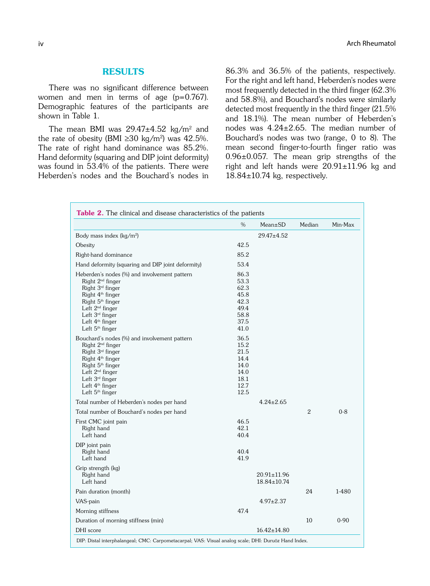## **RESULTS**

There was no significant difference between women and men in terms of age (p=0.767). Demographic features of the participants are shown in Table 1.

The mean BMI was  $29.47\pm4.52$  kg/m<sup>2</sup> and the rate of obesity (BMI  $\geq$ 30 kg/m<sup>2</sup>) was 42.5%. The rate of right hand dominance was 85.2%. Hand deformity (squaring and DIP joint deformity) was found in 53.4% of the patients. There were Heberden's nodes and the Bouchard's nodes in 86.3% and 36.5% of the patients, respectively. For the right and left hand, Heberden's nodes were most frequently detected in the third finger (62.3% and 58.8%), and Bouchard's nodes were similarly detected most frequently in the third finger (21.5% and 18.1%). The mean number of Heberden's nodes was 4.24±2.65. The median number of Bouchard's nodes was two (range, 0 to 8). The mean second finger-to-fourth finger ratio was 0.96±0.057. The mean grip strengths of the right and left hands were  $20.91 \pm 11.96$  kg and  $18.84\pm10.74$  kg, respectively.

|                                                                                                                                                                                                                                                                                                | $\%$                                                                 | Mean±SD                    | Median         | Min-Max  |
|------------------------------------------------------------------------------------------------------------------------------------------------------------------------------------------------------------------------------------------------------------------------------------------------|----------------------------------------------------------------------|----------------------------|----------------|----------|
| Body mass index (kg/m <sup>2</sup> )                                                                                                                                                                                                                                                           |                                                                      | $29.47 \pm 4.52$           |                |          |
| Obesity                                                                                                                                                                                                                                                                                        | 42.5                                                                 |                            |                |          |
| Right-hand dominance                                                                                                                                                                                                                                                                           | 85.2                                                                 |                            |                |          |
| Hand deformity (squaring and DIP joint deformity)                                                                                                                                                                                                                                              | 53.4                                                                 |                            |                |          |
| Heberden's nodes (%) and involvement pattern<br>Right 2 <sup>nd</sup> finger<br>Right 3 <sup>rd</sup> finger<br>Right 4 <sup>th</sup> finger<br>Right 5 <sup>th</sup> finger<br>Left 2 <sup>nd</sup> finger<br>Left $3rd$ finger<br>Left 4 <sup>th</sup> finger<br>Left 5 <sup>th</sup> finger | 86.3<br>53.3<br>62.3<br>45.8<br>42.3<br>49.4<br>58.8<br>37.5<br>41.0 |                            |                |          |
| Bouchard's nodes (%) and involvement pattern<br>Right 2 <sup>nd</sup> finger<br>Right 3 <sup>rd</sup> finger<br>Right 4 <sup>th</sup> finger<br>Right 5 <sup>th</sup> finger<br>Left 2 <sup>nd</sup> finger<br>Left $3rd$ finger<br>Left 4 <sup>th</sup> finger<br>Left $5th$ finger           | 36.5<br>15.2<br>21.5<br>14.4<br>14.0<br>14.0<br>18.1<br>12.7<br>12.5 |                            |                |          |
| Total number of Heberden's nodes per hand                                                                                                                                                                                                                                                      |                                                                      | $4.24 \pm 2.65$            |                |          |
| Total number of Bouchard's nodes per hand                                                                                                                                                                                                                                                      |                                                                      |                            | $\overline{2}$ | $0 - 8$  |
| First CMC joint pain<br>Right hand<br>Left hand                                                                                                                                                                                                                                                | 46.5<br>42.1<br>40.4                                                 |                            |                |          |
| DIP joint pain<br>Right hand<br>Left hand                                                                                                                                                                                                                                                      | 40.4<br>41.9                                                         |                            |                |          |
| Grip strength (kg)<br>Right hand<br>Left hand                                                                                                                                                                                                                                                  |                                                                      | 20.91±11.96<br>18.84±10.74 |                |          |
| Pain duration (month)                                                                                                                                                                                                                                                                          |                                                                      |                            | 24             | 1-480    |
| VAS-pain                                                                                                                                                                                                                                                                                       |                                                                      | $4.97 \pm 2.37$            |                |          |
| Morning stiffness                                                                                                                                                                                                                                                                              | 47.4                                                                 |                            |                |          |
| Duration of morning stiffness (min)                                                                                                                                                                                                                                                            |                                                                      |                            | 10             | $0 - 90$ |
| DHI score                                                                                                                                                                                                                                                                                      |                                                                      | $16.42 \pm 14.80$          |                |          |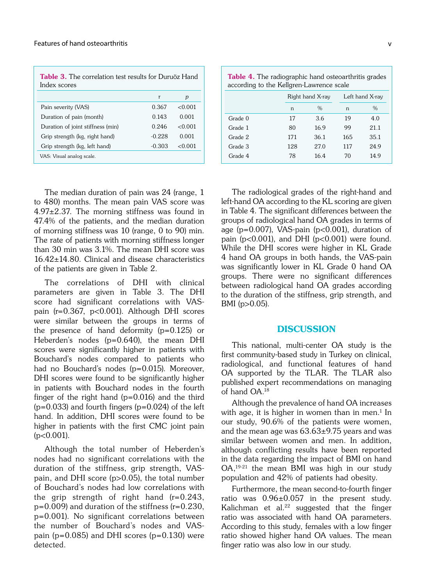| <b>Table 3.</b> The correlation test results for Duruöz Hand<br>Index scores |          |         |  |  |
|------------------------------------------------------------------------------|----------|---------|--|--|
|                                                                              | r        | р       |  |  |
| Pain severity (VAS)                                                          | 0.367    | <0.001  |  |  |
| Duration of pain (month)                                                     | 0.143    | 0.001   |  |  |
| Duration of joint stiffness (min)                                            | 0.246    | <0.001  |  |  |
| Grip strength (kg, right hand)                                               | $-0.228$ | 0.001   |  |  |
| Grip strength (kg, left hand)                                                | $-0.303$ | < 0.001 |  |  |
| VAS: Visual analog scale.                                                    |          |         |  |  |

The median duration of pain was 24 (range, 1 to 480) months. The mean pain VAS score was  $4.97\pm2.37$ . The morning stiffness was found in 47.4% of the patients, and the median duration of morning stiffness was 10 (range, 0 to 90) min. The rate of patients with morning stiffness longer than 30 min was 3.1%. The mean DHI score was 16.42±14.80. Clinical and disease characteristics of the patients are given in Table 2.

The correlations of DHI with clinical parameters are given in Table 3. The DHI score had significant correlations with VASpain (r=0.367, p<0.001). Although DHI scores were similar between the groups in terms of the presence of hand deformity (p=0.125) or Heberden's nodes (p=0.640), the mean DHI scores were significantly higher in patients with Bouchard's nodes compared to patients who had no Bouchard's nodes (p=0.015). Moreover, DHI scores were found to be significantly higher in patients with Bouchard nodes in the fourth finger of the right hand  $(p=0.016)$  and the third  $(p=0.033)$  and fourth fingers  $(p=0.024)$  of the left hand. In addition, DHI scores were found to be higher in patients with the first CMC joint pain (p<0.001).

Although the total number of Heberden's nodes had no significant correlations with the duration of the stiffness, grip strength, VASpain, and DHI score (p>0.05), the total number of Bouchard's nodes had low correlations with the grip strength of right hand  $(r=0.243,$  $p=0.009$ ) and duration of the stiffness ( $r=0.230$ , p=0.001). No significant correlations between the number of Bouchard's nodes and VASpain ( $p=0.085$ ) and DHI scores ( $p=0.130$ ) were detected.

| <b>Table 4.</b> The radiographic hand osteoarthritis grades<br>according to the Kellgren-Lawrence scale |     |                  |     |                 |  |  |
|---------------------------------------------------------------------------------------------------------|-----|------------------|-----|-----------------|--|--|
|                                                                                                         |     | Right hand X-ray |     | Left hand X-ray |  |  |
|                                                                                                         | n   | $\%$             | n   | $\%$            |  |  |
| Grade 0                                                                                                 | 17  | 3.6              | 19  | 4.0             |  |  |
| Grade 1                                                                                                 | 80  | 16.9             | 99  | 21.1            |  |  |
| Grade 2                                                                                                 | 171 | 36.1             | 165 | 35.1            |  |  |
| Grade 3                                                                                                 | 128 | 27.0             | 117 | 24.9            |  |  |
| Grade 4                                                                                                 | 78  | 16.4             | 70  | 14.9            |  |  |

The radiological grades of the right-hand and left-hand OA according to the KL scoring are given in Table 4. The significant differences between the groups of radiological hand OA grades in terms of age ( $p=0.007$ ), VAS-pain ( $p<0.001$ ), duration of pain ( $p<0.001$ ), and DHI ( $p<0.001$ ) were found. While the DHI scores were higher in KL Grade 4 hand OA groups in both hands, the VAS-pain was significantly lower in KL Grade 0 hand OA groups. There were no significant differences between radiological hand OA grades according to the duration of the stiffness, grip strength, and BMI (p>0.05).

## DISCUSSION

This national, multi-center OA study is the first community-based study in Turkey on clinical, radiological, and functional features of hand OA supported by the TLAR. The TLAR also published expert recommendations on managing of hand OA.18

Although the prevalence of hand OA increases with age, it is higher in women than in men.<sup>1</sup> In our study, 90.6% of the patients were women, and the mean age was  $63.63\pm9.75$  years and was similar between women and men. In addition, although conflicting results have been reported in the data regarding the impact of BMI on hand OA,19-21 the mean BMI was high in our study population and 42% of patients had obesity.

Furthermore, the mean second-to-fourth finger ratio was 0.96±0.057 in the present study. Kalichman et al.<sup>22</sup> suggested that the finger ratio was associated with hand OA parameters. According to this study, females with a low finger ratio showed higher hand OA values. The mean finger ratio was also low in our study.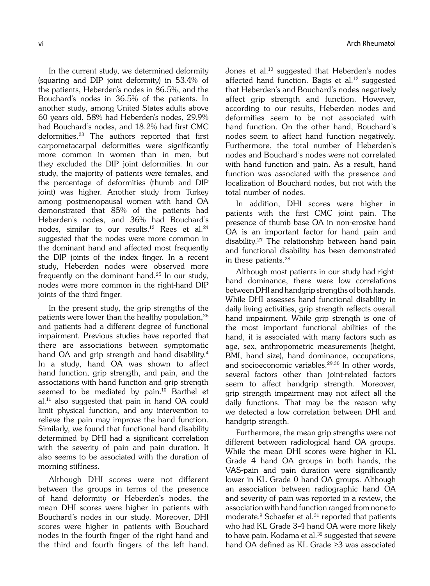In the current study, we determined deformity (squaring and DIP joint deformity) in 53.4% of the patients, Heberden's nodes in 86.5%, and the Bouchard's nodes in 36.5% of the patients. In another study, among United States adults above 60 years old, 58% had Heberden's nodes, 29.9% had Bouchard's nodes, and 18.2% had first CMC deformities.23 The authors reported that first carpometacarpal deformities were significantly more common in women than in men, but they excluded the DIP joint deformities. In our study, the majority of patients were females, and the percentage of deformities (thumb and DIP joint) was higher. Another study from Turkey among postmenopausal women with hand OA demonstrated that 85% of the patients had Heberden's nodes, and 36% had Bouchard's nodes, similar to our results.<sup>12</sup> Rees et al.<sup>24</sup> suggested that the nodes were more common in the dominant hand and affected most frequently the DIP joints of the index finger. In a recent study, Heberden nodes were observed more frequently on the dominant hand.25 In our study, nodes were more common in the right-hand DIP joints of the third finger.

In the present study, the grip strengths of the patients were lower than the healthy population,<sup>26</sup> and patients had a different degree of functional impairment. Previous studies have reported that there are associations between symptomatic hand OA and grip strength and hand disability.<sup>4</sup> In a study, hand OA was shown to affect hand function, grip strength, and pain, and the associations with hand function and grip strength seemed to be mediated by pain.<sup>10</sup> Barthel et al.11 also suggested that pain in hand OA could limit physical function, and any intervention to relieve the pain may improve the hand function. Similarly, we found that functional hand disability determined by DHI had a significant correlation with the severity of pain and pain duration. It also seems to be associated with the duration of morning stiffness.

Although DHI scores were not different between the groups in terms of the presence of hand deformity or Heberden's nodes, the mean DHI scores were higher in patients with Bouchard's nodes in our study. Moreover, DHI scores were higher in patients with Bouchard nodes in the fourth finger of the right hand and the third and fourth fingers of the left hand.

vi vi anticología de la contradicción de la contradicción de la contradicción de la contradicción de la contradicción de la contradicción de la contradicción de la contradicción de la contradicción de la contradicción de l

Jones et al.<sup>10</sup> suggested that Heberden's nodes affected hand function. Bagis et al.<sup>12</sup> suggested that Heberden's and Bouchard's nodes negatively affect grip strength and function. However, according to our results, Heberden nodes and deformities seem to be not associated with hand function. On the other hand, Bouchard's nodes seem to affect hand function negatively. Furthermore, the total number of Heberden's nodes and Bouchard's nodes were not correlated with hand function and pain. As a result, hand function was associated with the presence and localization of Bouchard nodes, but not with the total number of nodes.

In addition, DHI scores were higher in patients with the first CMC joint pain. The presence of thumb base OA in non-erosive hand OA is an important factor for hand pain and disability.27 The relationship between hand pain and functional disability has been demonstrated in these patients.28

Although most patients in our study had righthand dominance, there were low correlations between DHI and handgrip strengths of both hands. While DHI assesses hand functional disability in daily living activities, grip strength reflects overall hand impairment. While grip strength is one of the most important functional abilities of the hand, it is associated with many factors such as age, sex, anthropometric measurements (height, BMI, hand size), hand dominance, occupations, and socioeconomic variables.<sup>29,30</sup> In other words, several factors other than joint-related factors seem to affect handgrip strength. Moreover, grip strength impairment may not affect all the daily functions. That may be the reason why we detected a low correlation between DHI and handgrip strength.

Furthermore, the mean grip strengths were not different between radiological hand OA groups. While the mean DHI scores were higher in KL Grade 4 hand OA groups in both hands, the VAS-pain and pain duration were significantly lower in KL Grade 0 hand OA groups. Although an association between radiographic hand OA and severity of pain was reported in a review, the association with hand function ranged from none to moderate.<sup>9</sup> Schaefer et al.<sup>31</sup> reported that patients who had KL Grade 3-4 hand OA were more likely to have pain. Kodama et al.<sup>32</sup> suggested that severe hand OA defined as KL Grade ≥3 was associated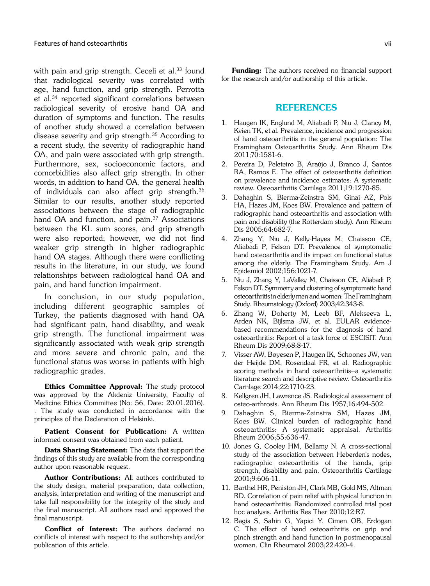with pain and grip strength. Ceceli et al.<sup>33</sup> found that radiological severity was correlated with age, hand function, and grip strength. Perrotta et al.34 reported significant correlations between radiological severity of erosive hand OA and duration of symptoms and function. The results of another study showed a correlation between disease severity and grip strength.35 According to a recent study, the severity of radiographic hand OA, and pain were associated with grip strength. Furthermore, sex, socioeconomic factors, and comorbidities also affect grip strength. In other words, in addition to hand OA, the general health of individuals can also affect grip strength.36 Similar to our results, another study reported associations between the stage of radiographic hand OA and function, and pain.<sup>37</sup> Associations between the KL sum scores, and grip strength were also reported; however, we did not find weaker grip strength in higher radiographic hand OA stages. Although there were conflicting results in the literature, in our study, we found relationships between radiological hand OA and pain, and hand function impairment.

In conclusion, in our study population, including different geographic samples of Turkey, the patients diagnosed with hand OA had significant pain, hand disability, and weak grip strength. The functional impairment was significantly associated with weak grip strength and more severe and chronic pain, and the functional status was worse in patients with high radiographic grades.

Ethics Committee Approval: The study protocol was approved by the Akdeniz University, Faculty of Medicine Ethics Committee (No: 56, Date: 20.01.2016). . The study was conducted in accordance with the principles of the Declaration of Helsinki.

Patient Consent for Publication: A written informed consent was obtained from each patient.

Data Sharing Statement: The data that support the findings of this study are available from the corresponding author upon reasonable request.

Author Contributions: All authors contributed to the study design, material preparation, data collection, analysis, interpretation and writing of the manuscript and take full responsibility for the integrity of the study and the final manuscript. All authors read and approved the final manuscript.

Conflict of Interest: The authors declared no conflicts of interest with respect to the authorship and/or publication of this article.

**Funding:** The authors received no financial support for the research and/or authorship of this article.

## **REFERENCES**

- 1. Haugen IK, Englund M, Aliabadi P, Niu J, Clancy M, Kvien TK, et al. Prevalence, incidence and progression of hand osteoarthritis in the general population: The Framingham Osteoarthritis Study. Ann Rheum Dis 2011;70:1581-6.
- 2. Pereira D, Peleteiro B, Araújo J, Branco J, Santos RA, Ramos E. The effect of osteoarthritis definition on prevalence and incidence estimates: A systematic review. Osteoarthritis Cartilage 2011;19:1270-85.
- 3. Dahaghin S, Bierma-Zeinstra SM, Ginai AZ, Pols HA, Hazes JM, Koes BW. Prevalence and pattern of radiographic hand osteoarthritis and association with pain and disability (the Rotterdam study). Ann Rheum Dis 2005;64:682-7.
- 4. Zhang Y, Niu J, Kelly-Hayes M, Chaisson CE, Aliabadi P, Felson DT. Prevalence of symptomatic hand osteoarthritis and its impact on functional status among the elderly: The Framingham Study. Am J Epidemiol 2002;156:1021-7.
- 5. Niu J, Zhang Y, LaValley M, Chaisson CE, Aliabadi P, Felson DT. Symmetry and clustering of symptomatic hand osteoarthritis in elderly men and women: The Framingham Study. Rheumatology (Oxford) 2003;42:343-8.
- 6. Zhang W, Doherty M, Leeb BF, Alekseeva L, Arden NK, Bijlsma JW, et al. EULAR evidencebased recommendations for the diagnosis of hand osteoarthritis: Report of a task force of ESCISIT. Ann Rheum Dis 2009;68:8-17.
- 7. Visser AW, Bøyesen P, Haugen IK, Schoones JW, van der Heijde DM, Rosendaal FR, et al. Radiographic scoring methods in hand osteoarthritis--a systematic literature search and descriptive review. Osteoarthritis Cartilage 2014;22:1710-23.
- 8. Kellgren JH, Lawrence JS. Radiological assessment of osteo-arthrosis. Ann Rheum Dis 1957;16:494-502.
- 9. Dahaghin S, Bierma-Zeinstra SM, Hazes JM, Koes BW. Clinical burden of radiographic hand osteoarthritis: A systematic appraisal. Arthritis Rheum 2006;55:636-47.
- 10. Jones G, Cooley HM, Bellamy N. A cross-sectional study of the association between Heberden's nodes, radiographic osteoarthritis of the hands, grip strength, disability and pain. Osteoarthritis Cartilage 2001;9:606-11.
- 11. Barthel HR, Peniston JH, Clark MB, Gold MS, Altman RD. Correlation of pain relief with physical function in hand osteoarthritis: Randomized controlled trial post hoc analysis. Arthritis Res Ther 2010;12:R7.
- 12. Bagis S, Sahin G, Yapici Y, Cimen OB, Erdogan C. The effect of hand osteoarthritis on grip and pinch strength and hand function in postmenopausal women. Clin Rheumatol 2003;22:420-4.